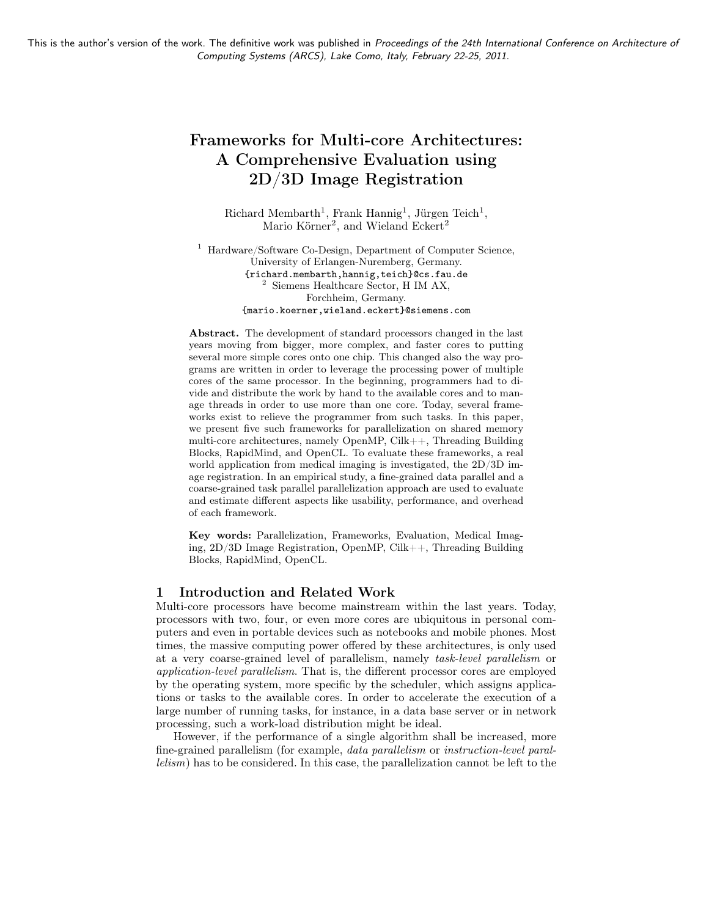# Frameworks for Multi-core Architectures: A Comprehensive Evaluation using 2D/3D Image Registration

Richard Membarth<sup>1</sup>, Frank Hannig<sup>1</sup>, Jürgen Teich<sup>1</sup>, Mario Körner<sup>2</sup>, and Wieland Eckert<sup>2</sup>

<sup>1</sup> Hardware/Software Co-Design, Department of Computer Science, University of Erlangen-Nuremberg, Germany. {richard.membarth,hannig,teich}@cs.fau.de  $^2$  Siemens Healthcare Sector, H IM AX, Forchheim, Germany. {mario.koerner,wieland.eckert}@siemens.com

Abstract. The development of standard processors changed in the last years moving from bigger, more complex, and faster cores to putting several more simple cores onto one chip. This changed also the way programs are written in order to leverage the processing power of multiple cores of the same processor. In the beginning, programmers had to divide and distribute the work by hand to the available cores and to manage threads in order to use more than one core. Today, several frameworks exist to relieve the programmer from such tasks. In this paper, we present five such frameworks for parallelization on shared memory multi-core architectures, namely OpenMP, Cilk++, Threading Building Blocks, RapidMind, and OpenCL. To evaluate these frameworks, a real world application from medical imaging is investigated, the 2D/3D image registration. In an empirical study, a fine-grained data parallel and a coarse-grained task parallel parallelization approach are used to evaluate and estimate different aspects like usability, performance, and overhead of each framework.

Key words: Parallelization, Frameworks, Evaluation, Medical Imaging, 2D/3D Image Registration, OpenMP, Cilk++, Threading Building Blocks, RapidMind, OpenCL.

# 1 Introduction and Related Work

Multi-core processors have become mainstream within the last years. Today, processors with two, four, or even more cores are ubiquitous in personal computers and even in portable devices such as notebooks and mobile phones. Most times, the massive computing power offered by these architectures, is only used at a very coarse-grained level of parallelism, namely task-level parallelism or application-level parallelism. That is, the different processor cores are employed by the operating system, more specific by the scheduler, which assigns applications or tasks to the available cores. In order to accelerate the execution of a large number of running tasks, for instance, in a data base server or in network processing, such a work-load distribution might be ideal.

However, if the performance of a single algorithm shall be increased, more fine-grained parallelism (for example, data parallelism or instruction-level parallelism) has to be considered. In this case, the parallelization cannot be left to the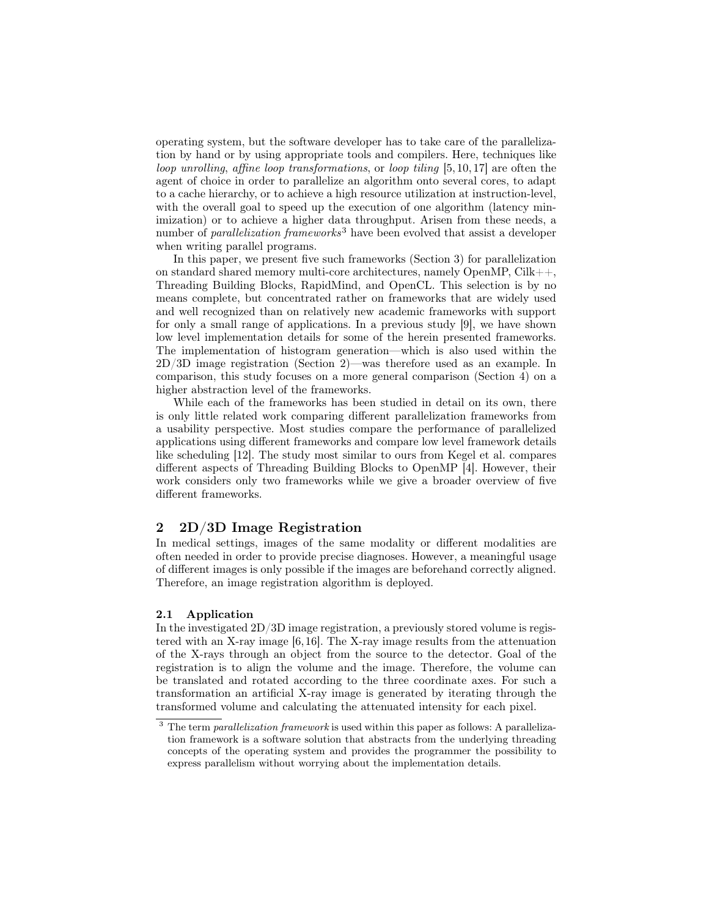operating system, but the software developer has to take care of the parallelization by hand or by using appropriate tools and compilers. Here, techniques like loop unrolling, affine loop transformations, or loop tiling [5, 10, 17] are often the agent of choice in order to parallelize an algorithm onto several cores, to adapt to a cache hierarchy, or to achieve a high resource utilization at instruction-level, with the overall goal to speed up the execution of one algorithm (latency minimization) or to achieve a higher data throughput. Arisen from these needs, a number of *parallelization frameworks*<sup>3</sup> have been evolved that assist a developer when writing parallel programs.

In this paper, we present five such frameworks (Section 3) for parallelization on standard shared memory multi-core architectures, namely OpenMP, Cilk++, Threading Building Blocks, RapidMind, and OpenCL. This selection is by no means complete, but concentrated rather on frameworks that are widely used and well recognized than on relatively new academic frameworks with support for only a small range of applications. In a previous study [9], we have shown low level implementation details for some of the herein presented frameworks. The implementation of histogram generation—which is also used within the 2D/3D image registration (Section 2)—was therefore used as an example. In comparison, this study focuses on a more general comparison (Section 4) on a higher abstraction level of the frameworks.

While each of the frameworks has been studied in detail on its own, there is only little related work comparing different parallelization frameworks from a usability perspective. Most studies compare the performance of parallelized applications using different frameworks and compare low level framework details like scheduling [12]. The study most similar to ours from Kegel et al. compares different aspects of Threading Building Blocks to OpenMP [4]. However, their work considers only two frameworks while we give a broader overview of five different frameworks.

# 2 2D/3D Image Registration

In medical settings, images of the same modality or different modalities are often needed in order to provide precise diagnoses. However, a meaningful usage of different images is only possible if the images are beforehand correctly aligned. Therefore, an image registration algorithm is deployed.

### 2.1 Application

In the investigated 2D/3D image registration, a previously stored volume is registered with an X-ray image [6,16]. The X-ray image results from the attenuation of the X-rays through an object from the source to the detector. Goal of the registration is to align the volume and the image. Therefore, the volume can be translated and rotated according to the three coordinate axes. For such a transformation an artificial X-ray image is generated by iterating through the transformed volume and calculating the attenuated intensity for each pixel.

The term *parallelization framework* is used within this paper as follows: A parallelization framework is a software solution that abstracts from the underlying threading concepts of the operating system and provides the programmer the possibility to express parallelism without worrying about the implementation details.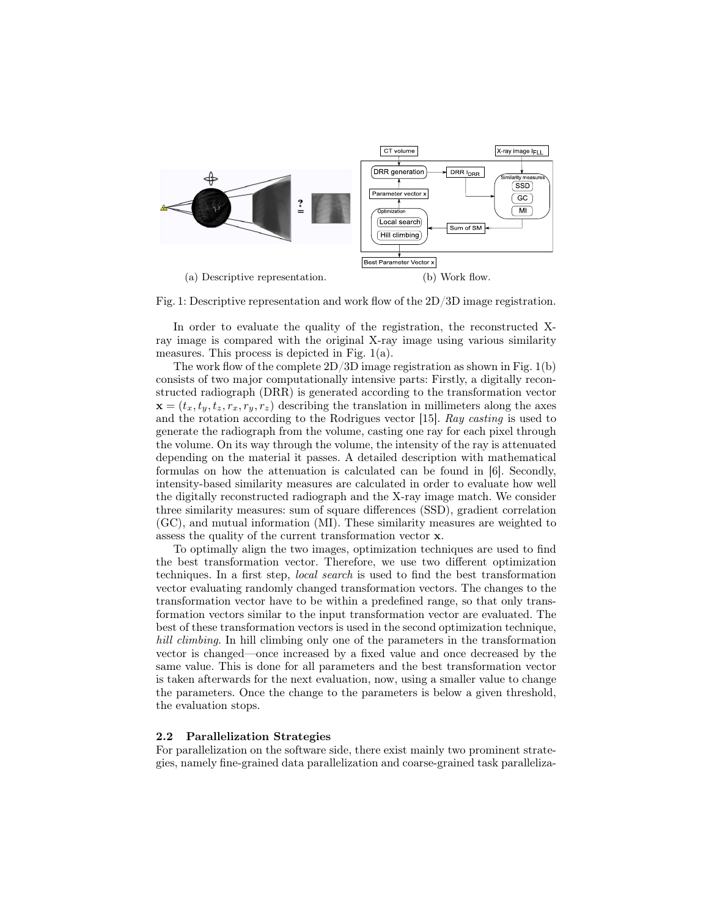

Fig. 1: Descriptive representation and work flow of the 2D/3D image registration.

In order to evaluate the quality of the registration, the reconstructed Xray image is compared with the original X-ray image using various similarity measures. This process is depicted in Fig. 1(a).

The work flow of the complete 2D/3D image registration as shown in Fig. 1(b) consists of two major computationally intensive parts: Firstly, a digitally reconstructed radiograph (DRR) is generated according to the transformation vector  $\mathbf{x} = (t_x, t_y, t_z, r_x, r_y, r_z)$  describing the translation in millimeters along the axes and the rotation according to the Rodrigues vector [15]. Ray casting is used to generate the radiograph from the volume, casting one ray for each pixel through the volume. On its way through the volume, the intensity of the ray is attenuated depending on the material it passes. A detailed description with mathematical formulas on how the attenuation is calculated can be found in [6]. Secondly, intensity-based similarity measures are calculated in order to evaluate how well the digitally reconstructed radiograph and the X-ray image match. We consider three similarity measures: sum of square differences (SSD), gradient correlation (GC), and mutual information (MI). These similarity measures are weighted to assess the quality of the current transformation vector x.

To optimally align the two images, optimization techniques are used to find the best transformation vector. Therefore, we use two different optimization techniques. In a first step, local search is used to find the best transformation vector evaluating randomly changed transformation vectors. The changes to the transformation vector have to be within a predefined range, so that only transformation vectors similar to the input transformation vector are evaluated. The best of these transformation vectors is used in the second optimization technique, hill climbing. In hill climbing only one of the parameters in the transformation vector is changed—once increased by a fixed value and once decreased by the same value. This is done for all parameters and the best transformation vector is taken afterwards for the next evaluation, now, using a smaller value to change the parameters. Once the change to the parameters is below a given threshold, the evaluation stops.

### 2.2 Parallelization Strategies

For parallelization on the software side, there exist mainly two prominent strategies, namely fine-grained data parallelization and coarse-grained task paralleliza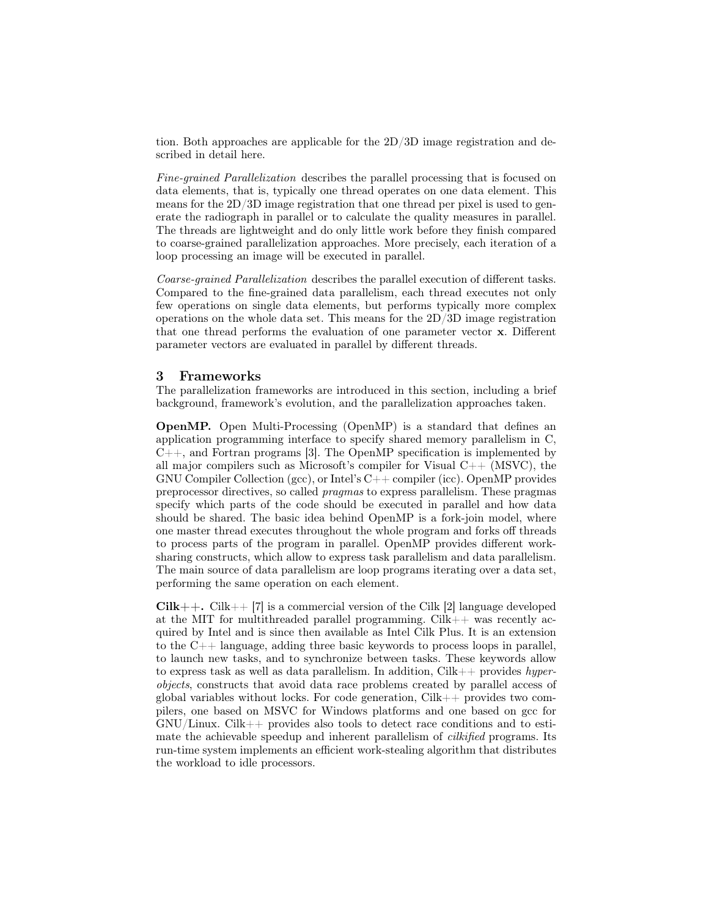tion. Both approaches are applicable for the 2D/3D image registration and described in detail here.

Fine-grained Parallelization describes the parallel processing that is focused on data elements, that is, typically one thread operates on one data element. This means for the 2D/3D image registration that one thread per pixel is used to generate the radiograph in parallel or to calculate the quality measures in parallel. The threads are lightweight and do only little work before they finish compared to coarse-grained parallelization approaches. More precisely, each iteration of a loop processing an image will be executed in parallel.

Coarse-grained Parallelization describes the parallel execution of different tasks. Compared to the fine-grained data parallelism, each thread executes not only few operations on single data elements, but performs typically more complex operations on the whole data set. This means for the 2D/3D image registration that one thread performs the evaluation of one parameter vector x. Different parameter vectors are evaluated in parallel by different threads.

### 3 Frameworks

The parallelization frameworks are introduced in this section, including a brief background, framework's evolution, and the parallelization approaches taken.

OpenMP. Open Multi-Processing (OpenMP) is a standard that defines an application programming interface to specify shared memory parallelism in C,  $C_{++}$ , and Fortran programs [3]. The OpenMP specification is implemented by all major compilers such as Microsoft's compiler for Visual  $C++ (MSVC)$ , the GNU Compiler Collection (gcc), or Intel's  $C++$  compiler (icc). OpenMP provides preprocessor directives, so called pragmas to express parallelism. These pragmas specify which parts of the code should be executed in parallel and how data should be shared. The basic idea behind OpenMP is a fork-join model, where one master thread executes throughout the whole program and forks off threads to process parts of the program in parallel. OpenMP provides different worksharing constructs, which allow to express task parallelism and data parallelism. The main source of data parallelism are loop programs iterating over a data set, performing the same operation on each element.

Cilk++. Cilk++ [7] is a commercial version of the Cilk [2] language developed at the MIT for multithreaded parallel programming. Cilk $++$  was recently acquired by Intel and is since then available as Intel Cilk Plus. It is an extension to the C++ language, adding three basic keywords to process loops in parallel, to launch new tasks, and to synchronize between tasks. These keywords allow to express task as well as data parallelism. In addition,  $Cilk++$  provides hyperobjects, constructs that avoid data race problems created by parallel access of global variables without locks. For code generation,  $Cilk++$  provides two compilers, one based on MSVC for Windows platforms and one based on gcc for  $GNU/L$ inux. Cilk $++$  provides also tools to detect race conditions and to estimate the achievable speedup and inherent parallelism of cilkified programs. Its run-time system implements an efficient work-stealing algorithm that distributes the workload to idle processors.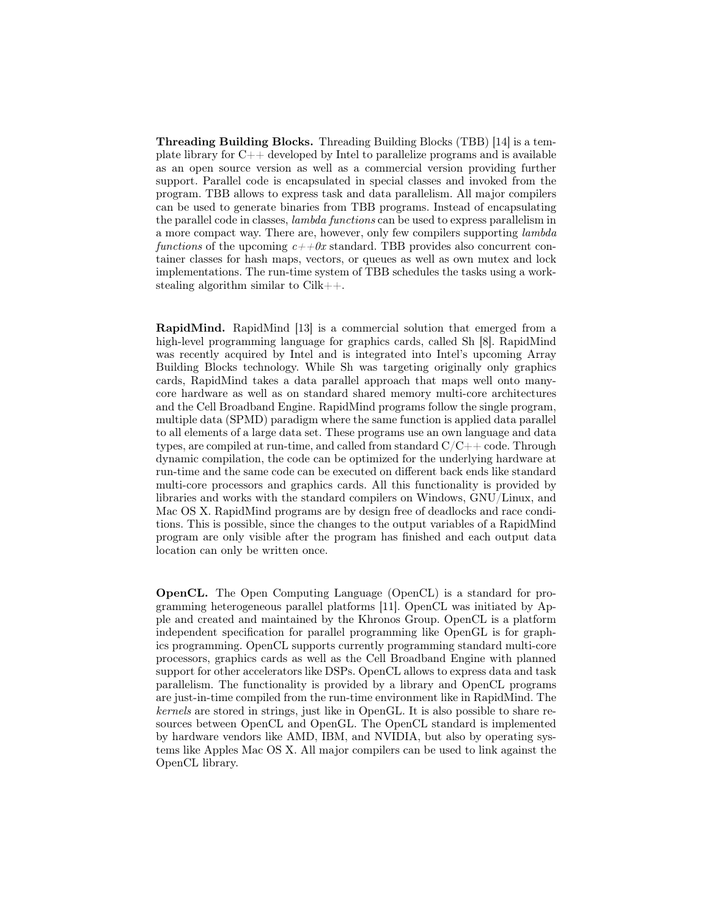Threading Building Blocks. Threading Building Blocks (TBB) [14] is a template library for  $C_{++}$  developed by Intel to parallelize programs and is available as an open source version as well as a commercial version providing further support. Parallel code is encapsulated in special classes and invoked from the program. TBB allows to express task and data parallelism. All major compilers can be used to generate binaries from TBB programs. Instead of encapsulating the parallel code in classes, lambda functions can be used to express parallelism in a more compact way. There are, however, only few compilers supporting lambda functions of the upcoming  $c+\theta x$  standard. TBB provides also concurrent container classes for hash maps, vectors, or queues as well as own mutex and lock implementations. The run-time system of TBB schedules the tasks using a workstealing algorithm similar to Cilk++.

RapidMind. RapidMind [13] is a commercial solution that emerged from a high-level programming language for graphics cards, called Sh [8]. RapidMind was recently acquired by Intel and is integrated into Intel's upcoming Array Building Blocks technology. While Sh was targeting originally only graphics cards, RapidMind takes a data parallel approach that maps well onto manycore hardware as well as on standard shared memory multi-core architectures and the Cell Broadband Engine. RapidMind programs follow the single program, multiple data (SPMD) paradigm where the same function is applied data parallel to all elements of a large data set. These programs use an own language and data types, are compiled at run-time, and called from standard  $C/C++$  code. Through dynamic compilation, the code can be optimized for the underlying hardware at run-time and the same code can be executed on different back ends like standard multi-core processors and graphics cards. All this functionality is provided by libraries and works with the standard compilers on Windows, GNU/Linux, and Mac OS X. RapidMind programs are by design free of deadlocks and race conditions. This is possible, since the changes to the output variables of a RapidMind program are only visible after the program has finished and each output data location can only be written once.

OpenCL. The Open Computing Language (OpenCL) is a standard for programming heterogeneous parallel platforms [11]. OpenCL was initiated by Apple and created and maintained by the Khronos Group. OpenCL is a platform independent specification for parallel programming like OpenGL is for graphics programming. OpenCL supports currently programming standard multi-core processors, graphics cards as well as the Cell Broadband Engine with planned support for other accelerators like DSPs. OpenCL allows to express data and task parallelism. The functionality is provided by a library and OpenCL programs are just-in-time compiled from the run-time environment like in RapidMind. The kernels are stored in strings, just like in OpenGL. It is also possible to share resources between OpenCL and OpenGL. The OpenCL standard is implemented by hardware vendors like AMD, IBM, and NVIDIA, but also by operating systems like Apples Mac OS X. All major compilers can be used to link against the OpenCL library.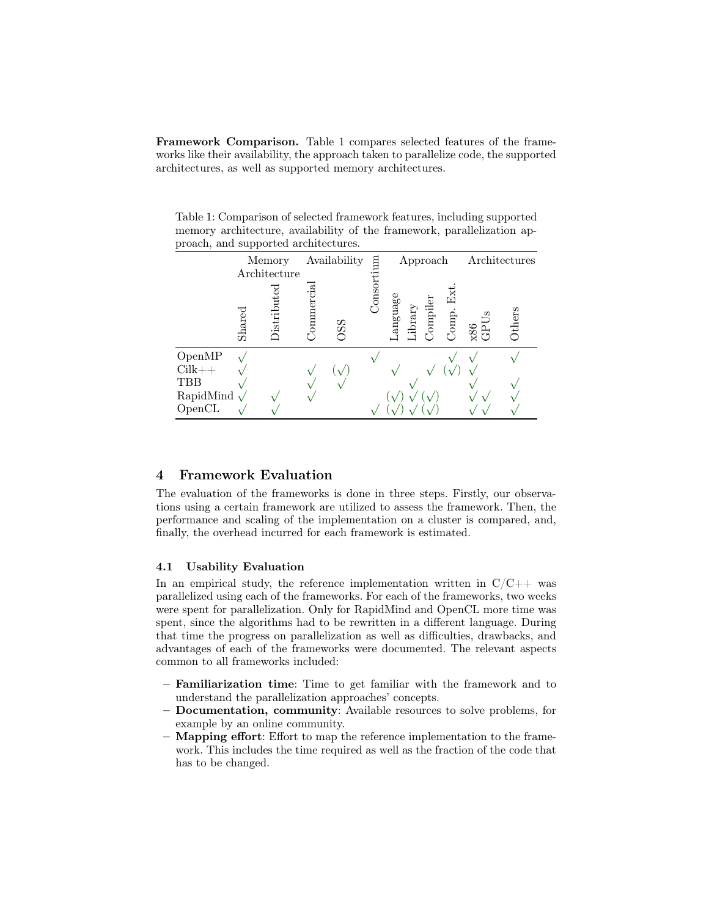Framework Comparison. Table 1 compares selected features of the frameworks like their availability, the approach taken to parallelize code, the supported architectures, as well as supported memory architectures.

Table 1: Comparison of selected framework features, including supported memory architecture, availability of the framework, parallelization approach, and supported architectures.

|                                      | Memory<br>Architecture |             | Availability      |            |            | Approach          |          |            | Architectures |        |
|--------------------------------------|------------------------|-------------|-------------------|------------|------------|-------------------|----------|------------|---------------|--------|
|                                      | Shared                 | Distributed | <b>Commercial</b> | <b>OSS</b> | Consortium | anguage<br>ibrary | Compiler | K<br>Comp. | $386$<br>GPU  | Others |
| OpenMP                               |                        |             |                   |            |            |                   |          |            |               |        |
| $Cilk++$<br>TBB<br>RapidMind $\sqrt$ |                        |             |                   |            |            |                   |          |            |               |        |
| OpenCL                               |                        |             |                   |            |            |                   |          |            |               |        |

# 4 Framework Evaluation

The evaluation of the frameworks is done in three steps. Firstly, our observations using a certain framework are utilized to assess the framework. Then, the performance and scaling of the implementation on a cluster is compared, and, finally, the overhead incurred for each framework is estimated.

### 4.1 Usability Evaluation

In an empirical study, the reference implementation written in  $C/C++$  was parallelized using each of the frameworks. For each of the frameworks, two weeks were spent for parallelization. Only for RapidMind and OpenCL more time was spent, since the algorithms had to be rewritten in a different language. During that time the progress on parallelization as well as difficulties, drawbacks, and advantages of each of the frameworks were documented. The relevant aspects common to all frameworks included:

- Familiarization time: Time to get familiar with the framework and to understand the parallelization approaches' concepts.
- Documentation, community: Available resources to solve problems, for example by an online community.
- Mapping effort: Effort to map the reference implementation to the framework. This includes the time required as well as the fraction of the code that has to be changed.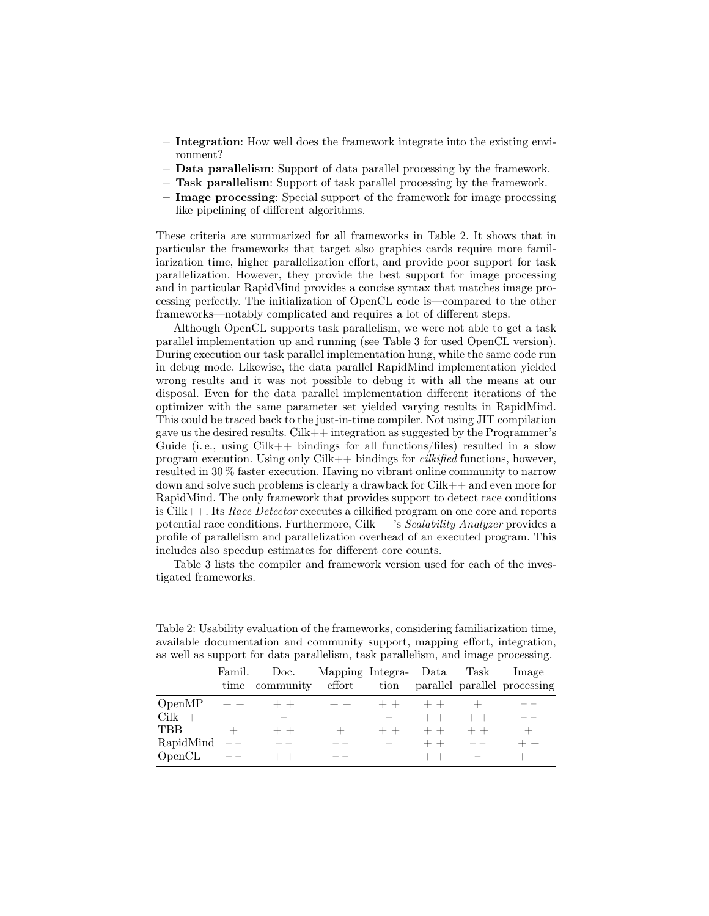- Integration: How well does the framework integrate into the existing environment?
- Data parallelism: Support of data parallel processing by the framework.
- Task parallelism: Support of task parallel processing by the framework.
- Image processing: Special support of the framework for image processing like pipelining of different algorithms.

These criteria are summarized for all frameworks in Table 2. It shows that in particular the frameworks that target also graphics cards require more familiarization time, higher parallelization effort, and provide poor support for task parallelization. However, they provide the best support for image processing and in particular RapidMind provides a concise syntax that matches image processing perfectly. The initialization of OpenCL code is—compared to the other frameworks—notably complicated and requires a lot of different steps.

Although OpenCL supports task parallelism, we were not able to get a task parallel implementation up and running (see Table 3 for used OpenCL version). During execution our task parallel implementation hung, while the same code run in debug mode. Likewise, the data parallel RapidMind implementation yielded wrong results and it was not possible to debug it with all the means at our disposal. Even for the data parallel implementation different iterations of the optimizer with the same parameter set yielded varying results in RapidMind. This could be traced back to the just-in-time compiler. Not using JIT compilation gave us the desired results. Cilk++ integration as suggested by the Programmer's Guide (i.e., using Cilk++ bindings for all functions/files) resulted in a slow program execution. Using only  $Cilk++$  bindings for *cilkified* functions, however, resulted in 30 % faster execution. Having no vibrant online community to narrow down and solve such problems is clearly a drawback for  $Cilk++$  and even more for RapidMind. The only framework that provides support to detect race conditions is Cilk++. Its Race Detector executes a cilkified program on one core and reports potential race conditions. Furthermore, Cilk $++$ 's Scalability Analyzer provides a profile of parallelism and parallelization overhead of an executed program. This includes also speedup estimates for different core counts.

Table 3 lists the compiler and framework version used for each of the investigated frameworks.

|                     | Famil. | Doc.<br>time community effort tion parallel parallel processing | Mapping Integra- Data Task Image |        |       |                          |        |
|---------------------|--------|-----------------------------------------------------------------|----------------------------------|--------|-------|--------------------------|--------|
| OpenMP              | $+ +$  | $+ +$                                                           | $+ +$                            | $+ +$  | $+ +$ |                          |        |
| $Cilk++$            | $+ +$  |                                                                 | $++$                             | $\sim$ | $+ +$ | $+ +$                    |        |
| <b>TBB</b>          |        | $+ +$                                                           | $+$                              | $+ +$  | $+ +$ | $+ +$                    | $^{+}$ |
| $RapidMind \quad -$ |        |                                                                 |                                  |        | $+ +$ |                          | $++$   |
| $OpenCL \t --$      |        | $+ +$                                                           |                                  |        | $+ +$ | $\overline{\phantom{a}}$ | $+ +$  |

Table 2: Usability evaluation of the frameworks, considering familiarization time, available documentation and community support, mapping effort, integration, as well as support for data parallelism, task parallelism, and image processing.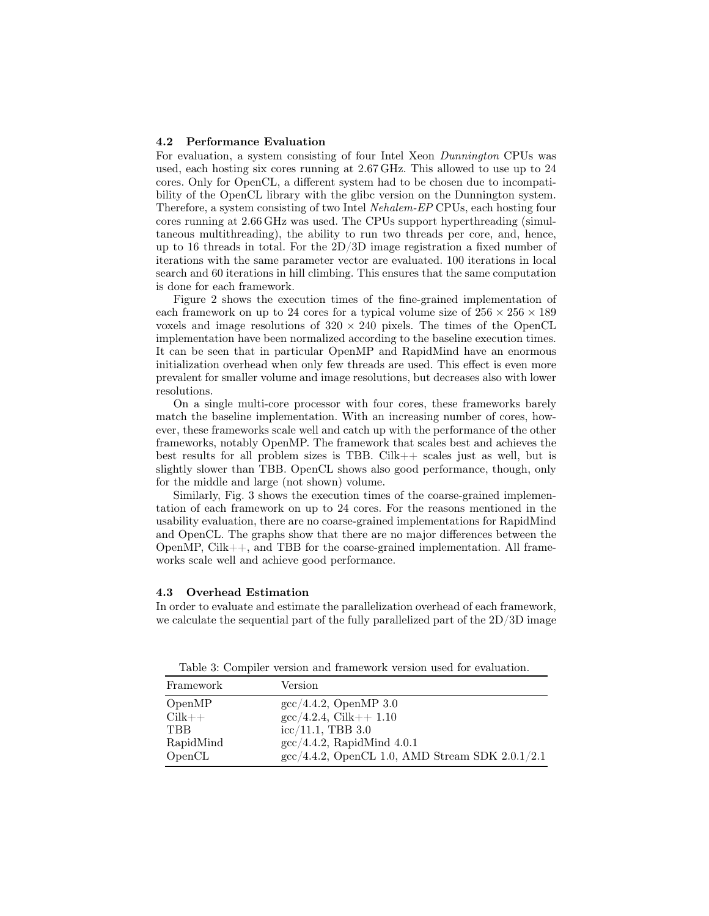#### 4.2 Performance Evaluation

For evaluation, a system consisting of four Intel Xeon Dunnington CPUs was used, each hosting six cores running at 2.67 GHz. This allowed to use up to 24 cores. Only for OpenCL, a different system had to be chosen due to incompatibility of the OpenCL library with the glibc version on the Dunnington system. Therefore, a system consisting of two Intel Nehalem-EP CPUs, each hosting four cores running at 2.66 GHz was used. The CPUs support hyperthreading (simultaneous multithreading), the ability to run two threads per core, and, hence, up to 16 threads in total. For the 2D/3D image registration a fixed number of iterations with the same parameter vector are evaluated. 100 iterations in local search and 60 iterations in hill climbing. This ensures that the same computation is done for each framework.

Figure 2 shows the execution times of the fine-grained implementation of each framework on up to 24 cores for a typical volume size of  $256 \times 256 \times 189$ voxels and image resolutions of  $320 \times 240$  pixels. The times of the OpenCL implementation have been normalized according to the baseline execution times. It can be seen that in particular OpenMP and RapidMind have an enormous initialization overhead when only few threads are used. This effect is even more prevalent for smaller volume and image resolutions, but decreases also with lower resolutions.

On a single multi-core processor with four cores, these frameworks barely match the baseline implementation. With an increasing number of cores, however, these frameworks scale well and catch up with the performance of the other frameworks, notably OpenMP. The framework that scales best and achieves the best results for all problem sizes is TBB. Cilk++ scales just as well, but is slightly slower than TBB. OpenCL shows also good performance, though, only for the middle and large (not shown) volume.

Similarly, Fig. 3 shows the execution times of the coarse-grained implementation of each framework on up to 24 cores. For the reasons mentioned in the usability evaluation, there are no coarse-grained implementations for RapidMind and OpenCL. The graphs show that there are no major differences between the OpenMP, Cilk++, and TBB for the coarse-grained implementation. All frameworks scale well and achieve good performance.

### 4.3 Overhead Estimation

In order to evaluate and estimate the parallelization overhead of each framework, we calculate the sequential part of the fully parallelized part of the 2D/3D image

| Framework  | Version                                                |
|------------|--------------------------------------------------------|
| OpenMP     | $\rm gcc/4.4.2$ , OpenMP 3.0                           |
| $Cilk++$   | $\frac{\text{gcc}}{4.2.4}$ , Cilk++ 1.10               |
| <b>TBB</b> | $\frac{\text{icc}}{11.1}$ , TBB 3.0                    |
| RapidMind  | $\rm gcc/4.4.2$ , RapidMind 4.0.1                      |
| OpenCL     | $\rm gcc/4.4.2$ , OpenCL 1.0, AMD Stream SDK 2.0.1/2.1 |

Table 3: Compiler version and framework version used for evaluation.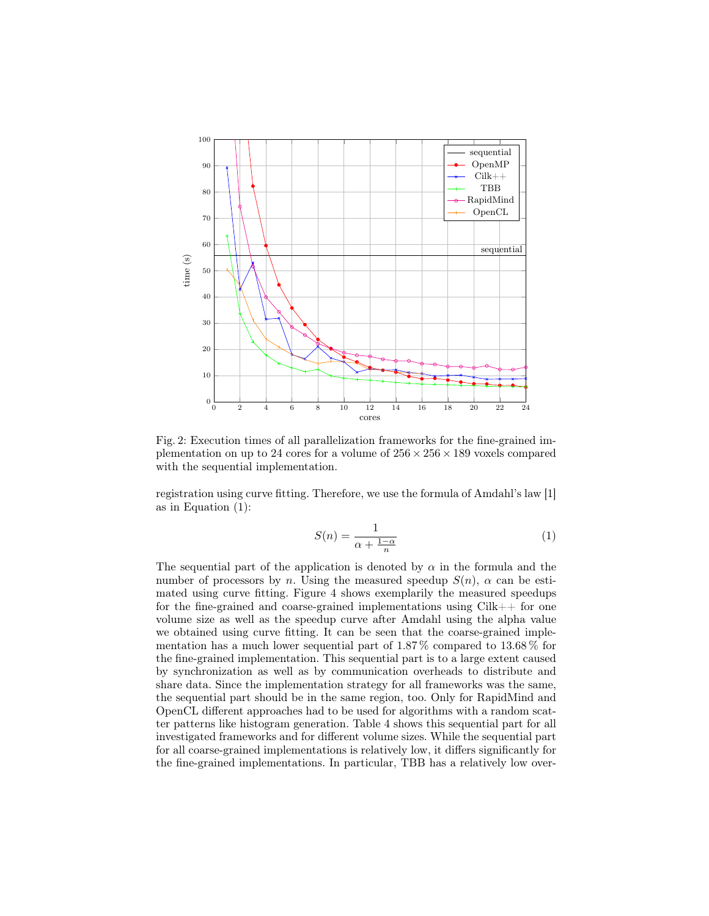

Fig. 2: Execution times of all parallelization frameworks for the fine-grained implementation on up to 24 cores for a volume of  $256 \times 256 \times 189$  voxels compared with the sequential implementation.

registration using curve fitting. Therefore, we use the formula of Amdahl's law [1] as in Equation (1):

$$
S(n) = \frac{1}{\alpha + \frac{1-\alpha}{n}}\tag{1}
$$

The sequential part of the application is denoted by  $\alpha$  in the formula and the number of processors by n. Using the measured speedup  $S(n)$ ,  $\alpha$  can be estimated using curve fitting. Figure 4 shows exemplarily the measured speedups for the fine-grained and coarse-grained implementations using  $Cilk++$  for one volume size as well as the speedup curve after Amdahl using the alpha value we obtained using curve fitting. It can be seen that the coarse-grained implementation has a much lower sequential part of 1.87 % compared to 13.68 % for the fine-grained implementation. This sequential part is to a large extent caused by synchronization as well as by communication overheads to distribute and share data. Since the implementation strategy for all frameworks was the same, the sequential part should be in the same region, too. Only for RapidMind and OpenCL different approaches had to be used for algorithms with a random scatter patterns like histogram generation. Table 4 shows this sequential part for all investigated frameworks and for different volume sizes. While the sequential part for all coarse-grained implementations is relatively low, it differs significantly for the fine-grained implementations. In particular, TBB has a relatively low over-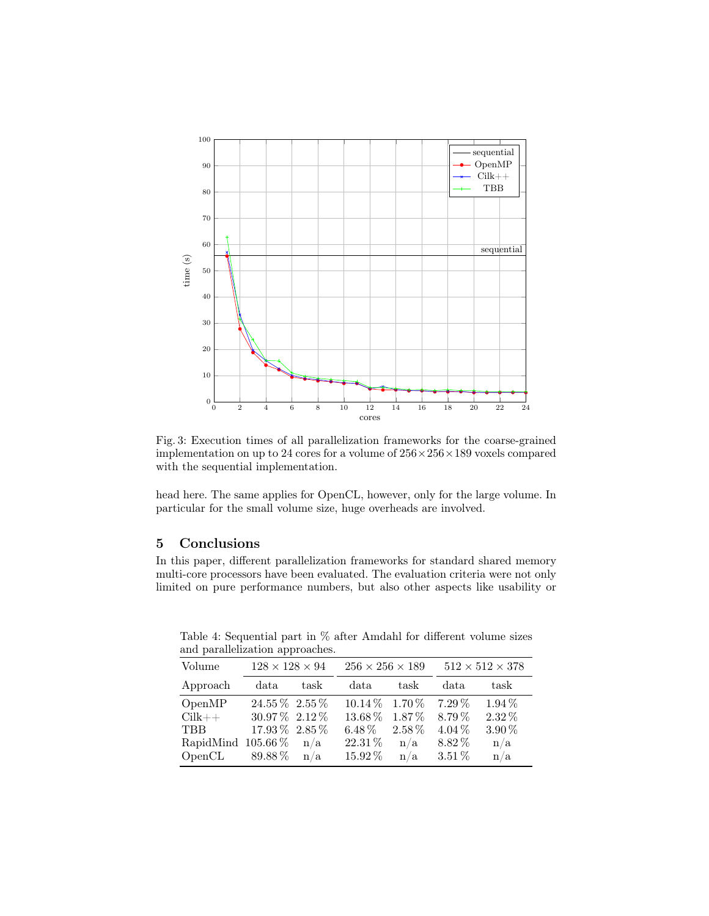

Fig. 3: Execution times of all parallelization frameworks for the coarse-grained implementation on up to 24 cores for a volume of  $256 \times 256 \times 189$  voxels compared with the sequential implementation.

head here. The same applies for OpenCL, however, only for the large volume. In particular for the small volume size, huge overheads are involved.

# 5 Conclusions

In this paper, different parallelization frameworks for standard shared memory multi-core processors have been evaluated. The evaluation criteria were not only limited on pure performance numbers, but also other aspects like usability or

 $\begin{array}{l} \mbox{Volume} \qquad \quad 128 \times 128 \times 94 \qquad 256 \times 256 \times 189 \qquad 512 \times 512 \times 378 \end{array}$ Approach data task data task data task OpenMP 24.55 % 2.55 % 10.14 % 1.70 % 7.29 % 1.94 % Cilk++  $30.97\%$  2.12 % 13.68 % 1.87 % 8.79 % 2.32 % TBB 17.93 % 2.85 % 6.48 % 2.58 % 4.04 % 3.90 % RapidMind  $105.66\%$  n/a  $22.31\%$  n/a  $8.82\%$  n/a OpenCL 89.88 % n/a 15.92 % n/a 3.51 % n/a

Table 4: Sequential part in % after Amdahl for different volume sizes and parallelization approaches.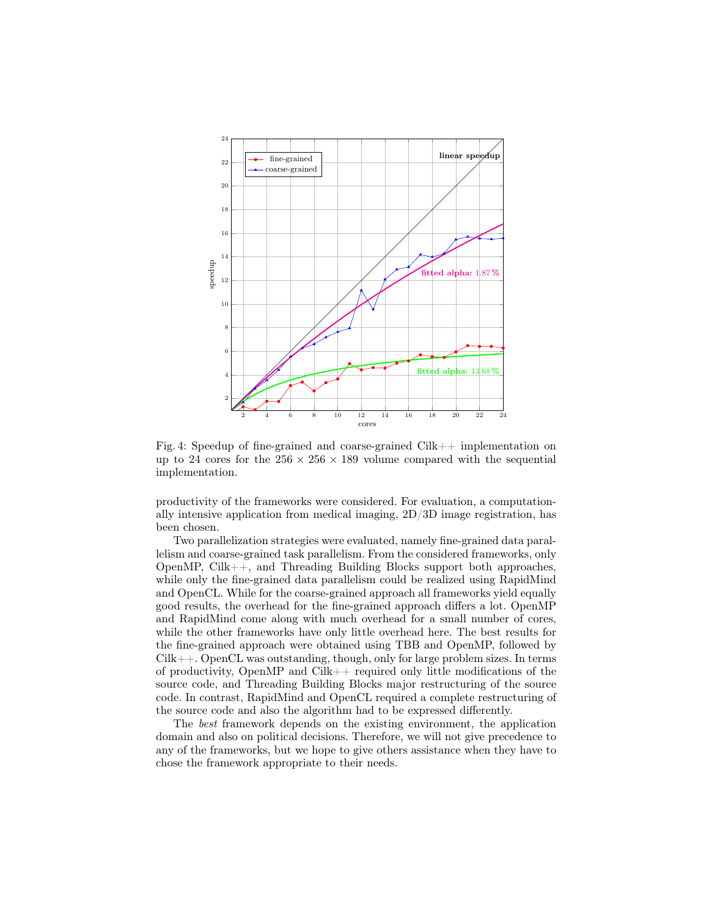

Fig. 4: Speedup of fine-grained and coarse-grained Cilk++ implementation on up to 24 cores for the  $256 \times 256 \times 189$  volume compared with the sequential implementation.

productivity of the frameworks were considered. For evaluation, a computationally intensive application from medical imaging, 2D/3D image registration, has been chosen.

Two parallelization strategies were evaluated, namely fine-grained data parallelism and coarse-grained task parallelism. From the considered frameworks, only OpenMP, Cilk++, and Threading Building Blocks support both approaches, while only the fine-grained data parallelism could be realized using RapidMind and OpenCL. While for the coarse-grained approach all frameworks yield equally good results, the overhead for the fine-grained approach differs a lot. OpenMP and RapidMind come along with much overhead for a small number of cores, while the other frameworks have only little overhead here. The best results for the fine-grained approach were obtained using TBB and OpenMP, followed by Cilk++. OpenCL was outstanding, though, only for large problem sizes. In terms of productivity, OpenMP and Cilk $++$  required only little modifications of the source code, and Threading Building Blocks major restructuring of the source code. In contrast, RapidMind and OpenCL required a complete restructuring of the source code and also the algorithm had to be expressed differently.

The best framework depends on the existing environment, the application domain and also on political decisions. Therefore, we will not give precedence to any of the frameworks, but we hope to give others assistance when they have to chose the framework appropriate to their needs.